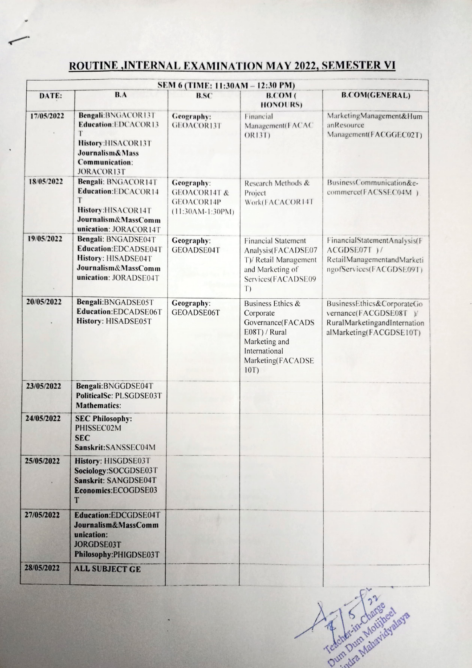## ROUTINE ,INTERNAL EXAMINATION MAY 2022, SEMESTER VI

|            |                                                                                                                                                    | SEM 6 (TIME: 11:30AM - 12:30 PM)                                          |                                                                                                                                    |                                                                                                               |
|------------|----------------------------------------------------------------------------------------------------------------------------------------------------|---------------------------------------------------------------------------|------------------------------------------------------------------------------------------------------------------------------------|---------------------------------------------------------------------------------------------------------------|
| DATE:      | B.A                                                                                                                                                | <b>B.SC</b>                                                               | <b>B.COM</b> (<br><b>HONOURS)</b>                                                                                                  | <b>B.COM(GENERAL)</b>                                                                                         |
| 17/05/2022 | Bengali:BNGACOR13T<br><b>Education:EDCACOR13</b><br>T<br>History:HISACOR13T<br><b>Journalism &amp; Mass</b><br><b>Communication:</b><br>JORACOR13T | Geography:<br><b>GEOACOR13T</b>                                           | Financial<br>Management(FACAC<br>OR13T)                                                                                            | Marketing Management&Hum<br>anResource<br>Management(FACGGEC02T)                                              |
| 18/05/2022 | Bengali: BNGACOR14T<br>Education:EDCACOR14<br>T<br>History:HISACOR14T<br>Journalism&MassComm<br>unication: JORACOR14T                              | Geography:<br><b>GEOACOR14T &amp;</b><br>GEOACOR14P<br>$(11:30AM-1:30PM)$ | Research Methods &<br>Project<br>Work(FACACOR14T                                                                                   | BusinessCommunication&e-<br>commerce(FACSSEC04M)                                                              |
| 19/05/2022 | Bengali: BNGADSE04T<br>Education:EDCADSE04T<br>History: HISADSE04T<br>Journalism&MassComm<br>unication: JORADSE04T                                 | Geography:<br>GEOADSE04T                                                  | <b>Financial Statement</b><br>Analysis(FACADSE07<br>T)/ Retail Management<br>and Marketing of<br>Services(FACADSE09<br>T)          | FinancialStatementAnalysis(F<br>ACGDSE07T)/<br>RetailManagementandMarketi<br>ngofServices(FACGDSE09T)         |
| 20/05/2022 | Bengali: BNGADSE05T<br>Education:EDCADSE06T<br>History: HISADSE05T                                                                                 | Geography:<br>GEOADSE06T                                                  | Business Ethics &<br>Corporate<br>Governance(FACADS<br>E08T) / Rural<br>Marketing and<br>International<br>Marketing(FACADSE<br>10T | BusinessEthics&CorporateGo<br>vernance(FACGDSE08T)<br>RuralMarketingandInternation<br>alMarketing(FACGDSE10T) |
| 23/05/2022 | Bengali:BNGGDSE04T<br><b>PoliticalSc: PLSGDSE03T</b><br><b>Mathematics:</b>                                                                        |                                                                           |                                                                                                                                    |                                                                                                               |
| 24/05/2022 | <b>SEC Philosophy:</b><br>PHISSEC02M<br><b>SEC</b><br>Sanskrit: SANSSEC04M                                                                         |                                                                           |                                                                                                                                    |                                                                                                               |
| 25/05/2022 | History: HISGDSE03T<br>Sociology:SOCGDSE03T<br>Sanskrit: SANGDSE04T<br>Economics:ECOGDSE03<br>T                                                    |                                                                           |                                                                                                                                    |                                                                                                               |
| 27/05/2022 | Education:EDCGDSE04T<br>Journalism&MassComm<br>unication:<br><b>JORGDSE03T</b><br>Philosophy:PHIGDSE03T                                            |                                                                           |                                                                                                                                    |                                                                                                               |
| 28/05/2022 | <b>ALL SUBJECT GE</b>                                                                                                                              |                                                                           |                                                                                                                                    |                                                                                                               |

Tedchér-in-Charged aya